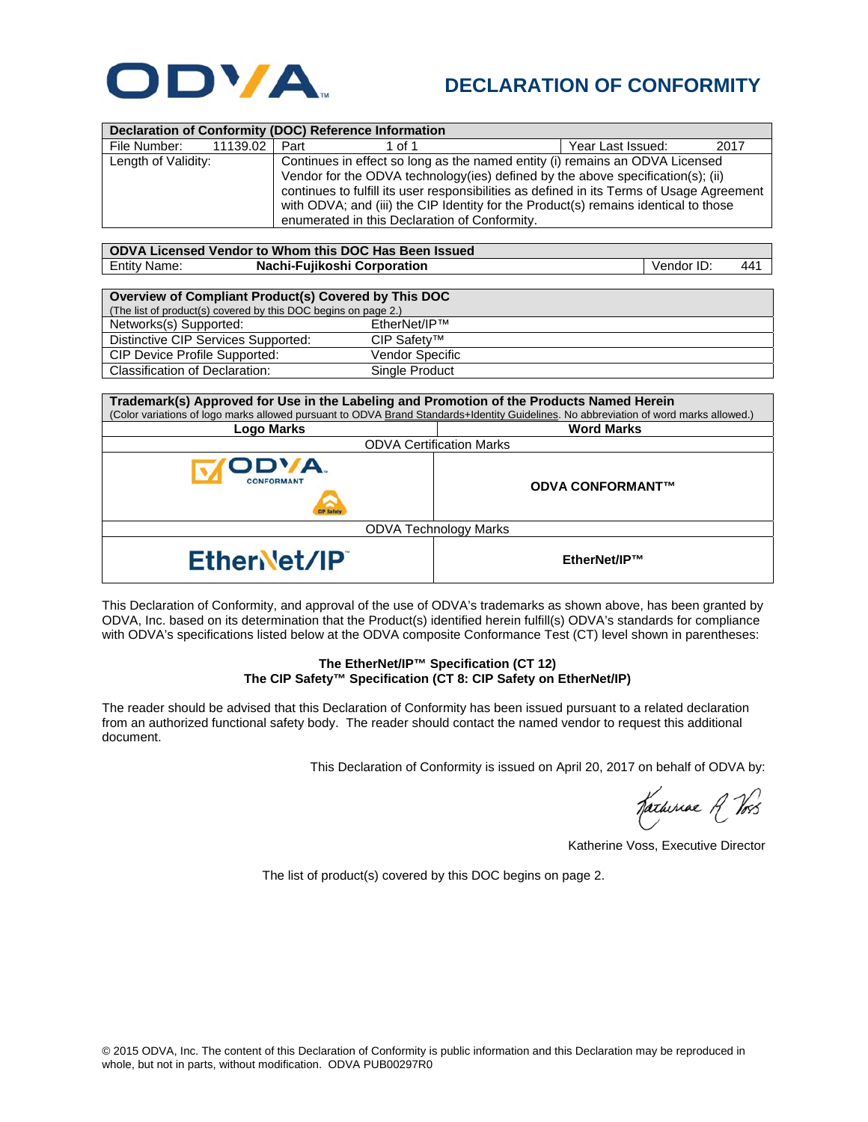

## **DECLARATION OF CONFORMITY**

| Declaration of Conformity (DOC) Reference Information |          |                                                                                                                                                                                                                                                                                                                                                      |                                               |  |                   |      |  |  |  |
|-------------------------------------------------------|----------|------------------------------------------------------------------------------------------------------------------------------------------------------------------------------------------------------------------------------------------------------------------------------------------------------------------------------------------------------|-----------------------------------------------|--|-------------------|------|--|--|--|
| File Number:                                          | 11139.02 | Part                                                                                                                                                                                                                                                                                                                                                 | 1 of 1                                        |  | Year Last Issued: | 2017 |  |  |  |
| Length of Validity:                                   |          | Continues in effect so long as the named entity (i) remains an ODVA Licensed<br>Vendor for the ODVA technology (ies) defined by the above specification(s); (ii)<br>continues to fulfill its user responsibilities as defined in its Terms of Usage Agreement<br>with ODVA; and (iii) the CIP Identity for the Product(s) remains identical to those |                                               |  |                   |      |  |  |  |
|                                                       |          |                                                                                                                                                                                                                                                                                                                                                      | enumerated in this Declaration of Conformity. |  |                   |      |  |  |  |
| ODVA Licensed Vendor to Whom this DOC Has Been Issued |          |                                                                                                                                                                                                                                                                                                                                                      |                                               |  |                   |      |  |  |  |

Entity Name: **Nachi-Fujikoshi Corporation** Vendor ID: 441

| Overview of Compliant Product(s) Covered by This DOC           |                        |  |  |  |  |
|----------------------------------------------------------------|------------------------|--|--|--|--|
| (The list of product(s) covered by this DOC begins on page 2.) |                        |  |  |  |  |
| Networks(s) Supported:                                         | FtherNet/IP™           |  |  |  |  |
| Distinctive CIP Services Supported:                            | CIP Safetv™            |  |  |  |  |
| CIP Device Profile Supported:                                  | <b>Vendor Specific</b> |  |  |  |  |
| <b>Classification of Declaration:</b>                          | Single Product         |  |  |  |  |

| Trademark(s) Approved for Use in the Labeling and Promotion of the Products Named Herein<br>(Color variations of logo marks allowed pursuant to ODVA Brand Standards+Identity Guidelines. No abbreviation of word marks allowed.) |                         |  |  |  |  |
|-----------------------------------------------------------------------------------------------------------------------------------------------------------------------------------------------------------------------------------|-------------------------|--|--|--|--|
| Logo Marks                                                                                                                                                                                                                        | <b>Word Marks</b>       |  |  |  |  |
| <b>ODVA Certification Marks</b>                                                                                                                                                                                                   |                         |  |  |  |  |
| ODVA.<br><b>CONFORMANT</b>                                                                                                                                                                                                        | <b>ODVA CONFORMANT™</b> |  |  |  |  |
| <b>ODVA Technology Marks</b>                                                                                                                                                                                                      |                         |  |  |  |  |
| EtherNet/IP                                                                                                                                                                                                                       | EtherNet/IP™            |  |  |  |  |

This Declaration of Conformity, and approval of the use of ODVA's trademarks as shown above, has been granted by ODVA, Inc. based on its determination that the Product(s) identified herein fulfill(s) ODVA's standards for compliance with ODVA's specifications listed below at the ODVA composite Conformance Test (CT) level shown in parentheses:

## **The EtherNet/IP™ Specification (CT 12) The CIP Safety™ Specification (CT 8: CIP Safety on EtherNet/IP)**

The reader should be advised that this Declaration of Conformity has been issued pursuant to a related declaration from an authorized functional safety body. The reader should contact the named vendor to request this additional document.

This Declaration of Conformity is issued on April 20, 2017 on behalf of ODVA by:

Hatheriae A Vos

Katherine Voss, Executive Director

The list of product(s) covered by this DOC begins on page 2.